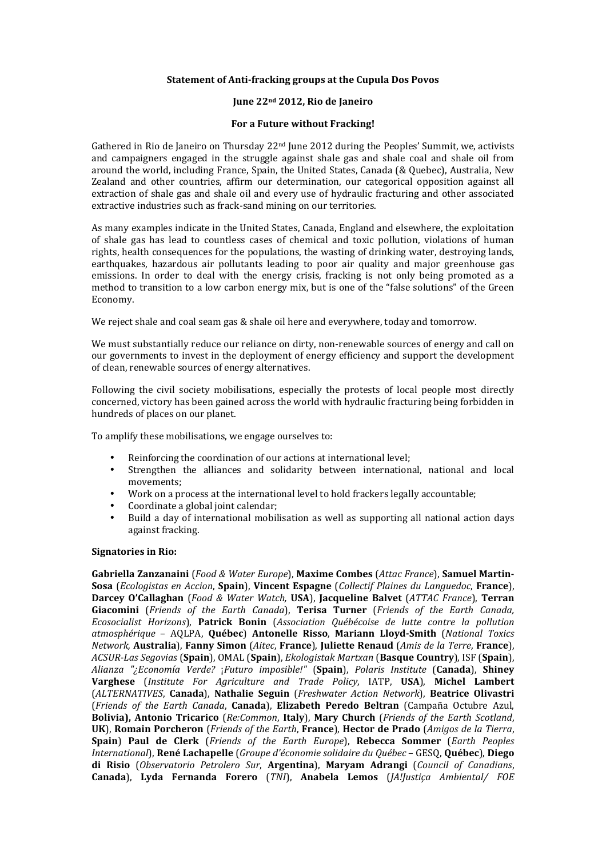## **Statement of Anti-fracking groups at the Cupula Dos Povos**

# June 22<sup>nd</sup> 2012, Rio de Janeiro

### For a Future without Fracking!

Gathered in Rio de Janeiro on Thursday  $22<sup>nd</sup>$  June 2012 during the Peoples' Summit, we, activists and campaigners engaged in the struggle against shale gas and shale coal and shale oil from around the world, including France, Spain, the United States, Canada (& Quebec), Australia, New Zealand and other countries, affirm our determination, our categorical opposition against all extraction of shale gas and shale oil and every use of hydraulic fracturing and other associated extractive industries such as frack-sand mining on our territories.

As many examples indicate in the United States, Canada, England and elsewhere, the exploitation of shale gas has lead to countless cases of chemical and toxic pollution, violations of human rights, health consequences for the populations, the wasting of drinking water, destroying lands, earthquakes, hazardous air pollutants leading to poor air quality and major greenhouse gas emissions. In order to deal with the energy crisis, fracking is not only being promoted as a method to transition to a low carbon energy mix, but is one of the "false solutions" of the Green Economy.

We reject shale and coal seam gas  $&$  shale oil here and everywhere, today and tomorrow.

We must substantially reduce our reliance on dirty, non-renewable sources of energy and call on our governments to invest in the deployment of energy efficiency and support the development of clean, renewable sources of energy alternatives.

Following the civil society mobilisations, especially the protests of local people most directly concerned, victory has been gained across the world with hydraulic fracturing being forbidden in hundreds of places on our planet.

To amplify these mobilisations, we engage ourselves to:

- Reinforcing the coordination of our actions at international level;
- Strengthen the alliances and solidarity between international, national and local movements:
- Work on a process at the international level to hold frackers legally accountable;
- Coordinate a global joint calendar;
- Build a day of international mobilisation as well as supporting all national action days against fracking.

#### **Signatories in Rio:**

Gabriella Zanzanaini (*Food & Water Europe*), Maxime Combes (*Attac France*), Samuel Martin-**Sosa** (*Ecologistas en Accion*, **Spain**), *Vincent Espagne* (*Collectif Plaines du Languedoc*, **France**), **Darcey O'Callaghan** (*Food & Water Watch*, USA), Jacqueline Balvet (*ATTAC France*), Terran Giacomini (Friends of the Earth Canada), Terisa Turner (Friends of the Earth Canada, *Ecosocialist\$ Horizons*),( **Patrick' Bonin** (*Association\$ Québécoise\$ de\$ lutte\$ contre\$ la\$ pollution\$ atmosphérique\$* –( AQLPA,( **Québec**)( **Antonelle' Risso**,( **Mariann' Lloyd,Smith**( (*National\$ Toxics\$ Network, Australia*), Fanny Simon (*Aitec*, France), Juliette Renaud (*Amis de la Terre*, France), *ACSURJLas\$Segovias*((**Spain**),(OMAL((**Spain**),(*Ekologistak\$Martxan*((**Basque'Country**),(ISF((**Spain**),( *Alianza\$ "¿Economía\$ Verde?*( ¡*Futuro\$ imposible!"*( (**Spain**),( *Polaris\$ Institute*( (**Canada**),( **Shiney' Varghese**( (*Institute\$ For\$ Agriculture\$ and\$ Trade\$ Policy*,( IATP,( **USA**),( **Michel' Lambert** (*ALTERNATIVES*,( **Canada**),( **Nathalie' Seguin**( (*Freshwater\$ Action\$ Network*),( **Beatrice' Olivastri** (Friends of the Earth Canada, Canada), Elizabeth Peredo Beltran (Campaña Octubre Azul, **Bolivia), Antonio Tricarico** (*Re:Common*, **Italy**), Mary Church (*Friends of the Earth Scotland*, **UK**), **Romain Porcheron** (*Friends of the Earth*, **France**), **Hector de Prado** (*Amigos de la Tierra*, **Spain) Paul de Clerk** (*Friends of the Earth Europe*), Rebecca Sommer (*Earth Peoples International*),(**René'Lachapelle**((*Groupe\$d'économie\$solidaire\$du\$Québec* –(GESQ,(**Québec**),(**Diego' di Risio** (*Observatorio Petrolero Sur*, **Argentina**), Maryam Adrangi (*Council of Canadians*, **Canada**),( **Lyda' Fernanda' Forero**( (*TNI*),( **Anabela' Lemos** (*JA!Justiça\$ Ambiental/\$ FOE\$*